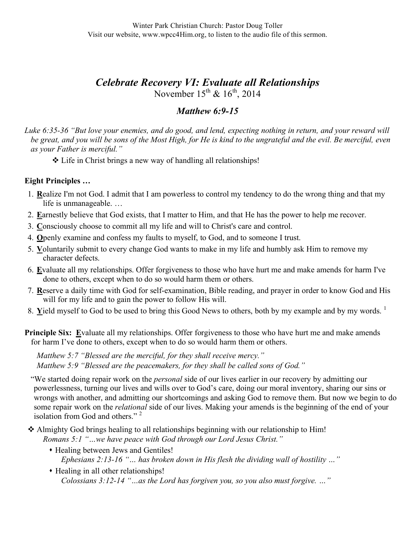# *Celebrate Recovery VI: Evaluate all Relationships* November  $15^{th}$  &  $16^{th}$ , 2014

## *Matthew 6:9-15*

*Luke 6:35-36 "But love your enemies, and do good, and lend, expecting nothing in return, and your reward will*  be great, and you will be sons of the Most High, for He is kind to the ungrateful and the evil. Be merciful, even *as your Father is merciful."*

Life in Christ brings a new way of handling all relationships!

#### **Eight Principles …**

- 1. **R**ealize I'm not God. I admit that I am powerless to control my tendency to do the wrong thing and that my life is unmanageable. …
- 2. **E**arnestly believe that God exists, that I matter to Him, and that He has the power to help me recover.
- 3. **C**onsciously choose to commit all my life and will to Christ's care and control.
- 4. **O**penly examine and confess my faults to myself, to God, and to someone I trust.
- 5. **V**oluntarily submit to every change God wants to make in my life and humbly ask Him to remove my character defects.
- 6. **E**valuate all my relationships. Offer forgiveness to those who have hurt me and make amends for harm I've done to others, except when to do so would harm them or others.
- 7. **R**eserve a daily time with God for self-examination, Bible reading, and prayer in order to know God and His will for my life and to gain the power to follow His will.
- 8. Yield myself to God to be used to bring this Good News to others, both by my example and by my words.<sup>1</sup>
- **Principle Six:** Evaluate all my relationships. Offer forgiveness to those who have hurt me and make amends for harm I've done to others, except when to do so would harm them or others.

*Matthew 5:7 "Blessed are the merciful, for they shall receive mercy." Matthew 5:9 "Blessed are the peacemakers, for they shall be called sons of God."*

"We started doing repair work on the *personal* side of our lives earlier in our recovery by admitting our powerlessness, turning our lives and wills over to God's care, doing our moral inventory, sharing our sins or wrongs with another, and admitting our shortcomings and asking God to remove them. But now we begin to do some repair work on the *relational* side of our lives. Making your amends is the beginning of the end of your isolation from God and others."<sup>2</sup>

 Almighty God brings healing to all relationships beginning with our relationship to Him! *Romans 5:1 "…we have peace with God through our Lord Jesus Christ."*

- Healing between Jews and Gentiles! *Ephesians 2:13-16 "… has broken down in His flesh the dividing wall of hostility …"*
- Healing in all other relationships! *Colossians 3:12-14 "…as the Lord has forgiven you, so you also must forgive. …"*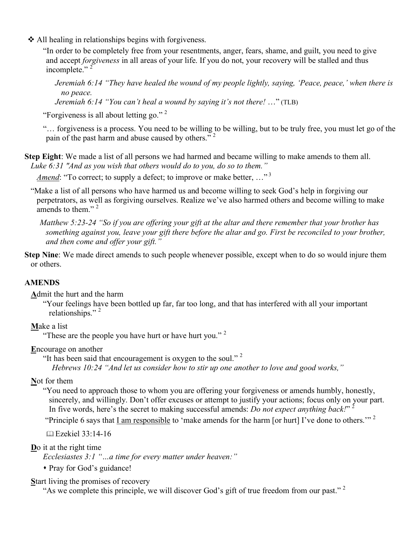All healing in relationships begins with forgiveness.

"In order to be completely free from your resentments, anger, fears, shame, and guilt, you need to give and accept *forgiveness* in all areas of your life. If you do not, your recovery will be stalled and thus incomplete."<sup>2</sup>

*Jeremiah 6:14 "They have healed the wound of my people lightly, saying, 'Peace, peace,' when there is no peace.*

*Jeremiah 6:14 "You can't heal a wound by saying it's not there!* …" (TLB)

"Forgiveness is all about letting go." <sup>2</sup>

"… forgiveness is a process. You need to be willing to be willing, but to be truly free, you must let go of the pain of the past harm and abuse caused by others."<sup>2</sup>

**Step Eight**: We made a list of all persons we had harmed and became willing to make amends to them all. *Luke 6:31 "And as you wish that others would do to you, do so to them."*

*Amend*: "To correct; to supply a defect; to improve or make better, ..."<sup>3</sup>

"Make a list of all persons who have harmed us and become willing to seek God's help in forgiving our perpetrators, as well as forgiving ourselves. Realize we've also harmed others and become willing to make amends to them."<sup>2</sup>

*Matthew 5:23-24 "So if you are offering your gift at the altar and there remember that your brother has something against you, leave your gift there before the altar and go. First be reconciled to your brother, and then come and offer your gift."*

**Step Nine**: We made direct amends to such people whenever possible, except when to do so would injure them or others.

### **AMENDS**

**A**dmit the hurt and the harm

"Your feelings have been bottled up far, far too long, and that has interfered with all your important relationships."<sup>2</sup>

**M**ake a list

"These are the people you have hurt or have hurt you."  $2^{\circ}$ 

**E**ncourage on another

"It has been said that encouragement is oxygen to the soul." <sup>2</sup>

*Hebrews 10:24 "And let us consider how to stir up one another to love and good works,"*

#### **N**ot for them

"You need to approach those to whom you are offering your forgiveness or amends humbly, honestly, sincerely, and willingly. Don't offer excuses or attempt to justify your actions; focus only on your part. In five words, here's the secret to making successful amends: *Do not expect anything back!*" <sup>2</sup>

"Principle 6 says that  $\underline{I}$  am responsible to 'make amends for the harm [or hurt] I've done to others."<sup>2</sup>

Ezekiel 33:14-16

**D**o it at the right time

*Ecclesiastes 3:1 "…a time for every matter under heaven:"*

Pray for God's guidance!

**S**tart living the promises of recovery

"As we complete this principle, we will discover God's gift of true freedom from our past."  $2$